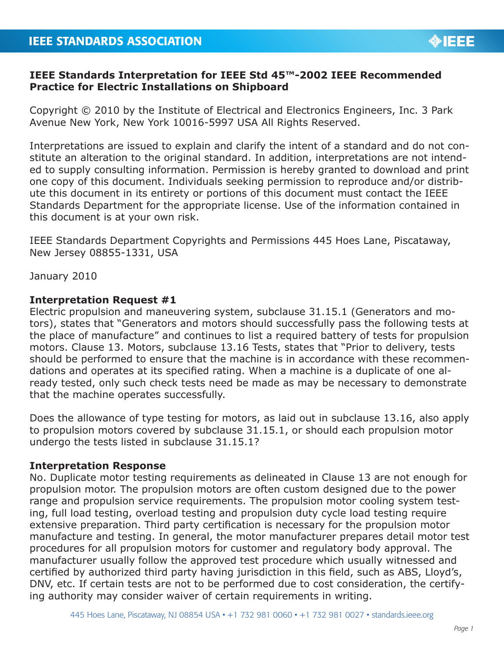

# **IEEE Standards Interpretation for IEEE Std 45™-2002 IEEE Recommended Practice for Electric Installations on Shipboard**

Copyright © 2010 by the Institute of Electrical and Electronics Engineers, Inc. 3 Park Avenue New York, New York 10016-5997 USA All Rights Reserved.

Interpretations are issued to explain and clarify the intent of a standard and do not constitute an alteration to the original standard. In addition, interpretations are not intended to supply consulting information. Permission is hereby granted to download and print one copy of this document. Individuals seeking permission to reproduce and/or distribute this document in its entirety or portions of this document must contact the IEEE Standards Department for the appropriate license. Use of the information contained in this document is at your own risk.

IEEE Standards Department Copyrights and Permissions 445 Hoes Lane, Piscataway, New Jersey 08855-1331, USA

January 2010

## **Interpretation Request #1**

Electric propulsion and maneuvering system, subclause 31.15.1 (Generators and motors), states that "Generators and motors should successfully pass the following tests at the place of manufacture" and continues to list a required battery of tests for propulsion motors. Clause 13. Motors, subclause 13.16 Tests, states that "Prior to delivery, tests should be performed to ensure that the machine is in accordance with these recommendations and operates at its specified rating. When a machine is a duplicate of one already tested, only such check tests need be made as may be necessary to demonstrate that the machine operates successfully.

Does the allowance of type testing for motors, as laid out in subclause 13.16, also apply to propulsion motors covered by subclause 31.15.1, or should each propulsion motor undergo the tests listed in subclause 31.15.1?

#### **Interpretation Response**

No. Duplicate motor testing requirements as delineated in Clause 13 are not enough for propulsion motor. The propulsion motors are often custom designed due to the power range and propulsion service requirements. The propulsion motor cooling system testing, full load testing, overload testing and propulsion duty cycle load testing require extensive preparation. Third party certification is necessary for the propulsion motor manufacture and testing. In general, the motor manufacturer prepares detail motor test procedures for all propulsion motors for customer and regulatory body approval. The manufacturer usually follow the approved test procedure which usually witnessed and certified by authorized third party having jurisdiction in this field, such as ABS, Lloyd's, DNV, etc. If certain tests are not to be performed due to cost consideration, the certifying authority may consider waiver of certain requirements in writing.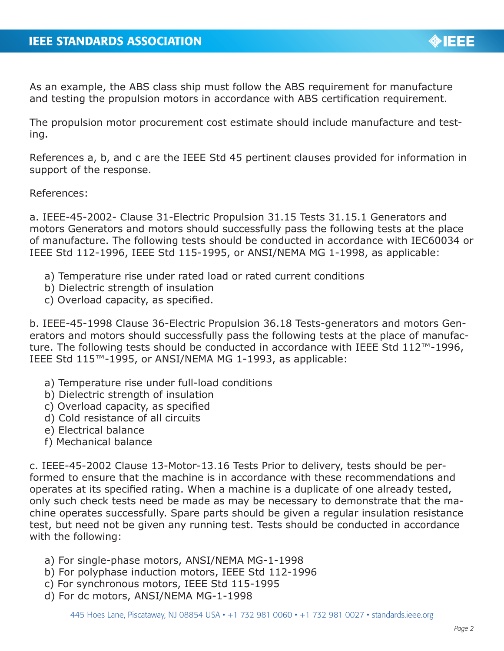As an example, the ABS class ship must follow the ABS requirement for manufacture and testing the propulsion motors in accordance with ABS certification requirement.

The propulsion motor procurement cost estimate should include manufacture and testing.

References a, b, and c are the IEEE Std 45 pertinent clauses provided for information in support of the response.

#### References:

a. IEEE-45-2002- Clause 31-Electric Propulsion 31.15 Tests 31.15.1 Generators and motors Generators and motors should successfully pass the following tests at the place of manufacture. The following tests should be conducted in accordance with IEC60034 or IEEE Std 112-1996, IEEE Std 115-1995, or ANSI/NEMA MG 1-1998, as applicable:

- a) Temperature rise under rated load or rated current conditions
- b) Dielectric strength of insulation
- c) Overload capacity, as specified.

b. IEEE-45-1998 Clause 36-Electric Propulsion 36.18 Tests-generators and motors Generators and motors should successfully pass the following tests at the place of manufacture. The following tests should be conducted in accordance with IEEE Std 112™-1996, IEEE Std 115™-1995, or ANSI/NEMA MG 1-1993, as applicable:

- a) Temperature rise under full-load conditions
- b) Dielectric strength of insulation
- c) Overload capacity, as specified
- d) Cold resistance of all circuits
- e) Electrical balance
- f) Mechanical balance

c. IEEE-45-2002 Clause 13-Motor-13.16 Tests Prior to delivery, tests should be performed to ensure that the machine is in accordance with these recommendations and operates at its specified rating. When a machine is a duplicate of one already tested, only such check tests need be made as may be necessary to demonstrate that the machine operates successfully. Spare parts should be given a regular insulation resistance test, but need not be given any running test. Tests should be conducted in accordance with the following:

- a) For single-phase motors, ANSI/NEMA MG-1-1998
- b) For polyphase induction motors, IEEE Std 112-1996
- c) For synchronous motors, IEEE Std 115-1995
- d) For dc motors, ANSI/NEMA MG-1-1998

**OBJECT**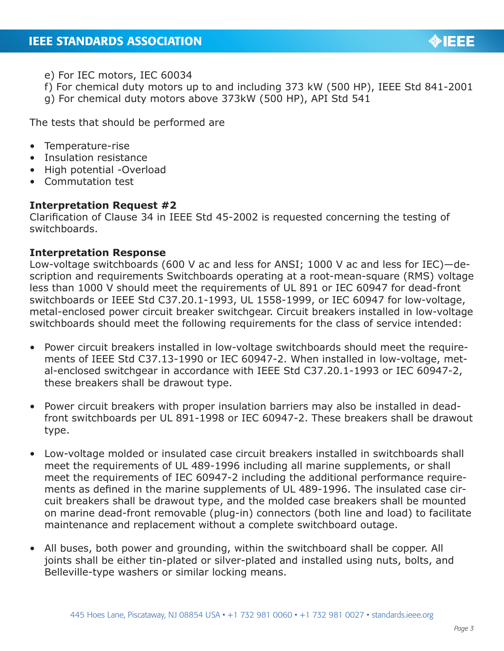

- e) For IEC motors, IEC 60034
- f) For chemical duty motors up to and including 373 kW (500 HP), IEEE Std 841-2001
- g) For chemical duty motors above 373kW (500 HP), API Std 541

The tests that should be performed are

- Temperature-rise
- Insulation resistance
- High potential -Overload
- Commutation test

### **Interpretation Request #2**

Clarification of Clause 34 in IEEE Std 45-2002 is requested concerning the testing of switchboards.

## **Interpretation Response**

Low-voltage switchboards (600 V ac and less for ANSI; 1000 V ac and less for IEC)—description and requirements Switchboards operating at a root-mean-square (RMS) voltage less than 1000 V should meet the requirements of UL 891 or IEC 60947 for dead-front switchboards or IEEE Std C37.20.1-1993, UL 1558-1999, or IEC 60947 for low-voltage, metal-enclosed power circuit breaker switchgear. Circuit breakers installed in low-voltage switchboards should meet the following requirements for the class of service intended:

- Power circuit breakers installed in low-voltage switchboards should meet the requirements of IEEE Std C37.13-1990 or IEC 60947-2. When installed in low-voltage, metal-enclosed switchgear in accordance with IEEE Std C37.20.1-1993 or IEC 60947-2, these breakers shall be drawout type.
- Power circuit breakers with proper insulation barriers may also be installed in deadfront switchboards per UL 891-1998 or IEC 60947-2. These breakers shall be drawout type.
- Low-voltage molded or insulated case circuit breakers installed in switchboards shall meet the requirements of UL 489-1996 including all marine supplements, or shall meet the requirements of IEC 60947-2 including the additional performance requirements as defined in the marine supplements of UL 489-1996. The insulated case circuit breakers shall be drawout type, and the molded case breakers shall be mounted on marine dead-front removable (plug-in) connectors (both line and load) to facilitate maintenance and replacement without a complete switchboard outage.
- All buses, both power and grounding, within the switchboard shall be copper. All joints shall be either tin-plated or silver-plated and installed using nuts, bolts, and Belleville-type washers or similar locking means.